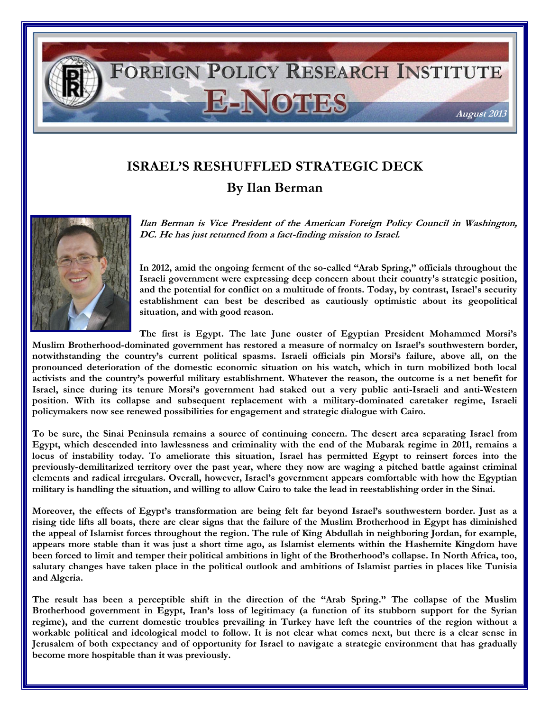

## **ISRAEL'S RESHUFFLED STRATEGIC DECK By Ilan Berman**

**Ilan Berman is Vice President of the American Foreign Policy Council in Washington, DC. He has just returned from a fact-finding mission to Israel.**

**In 2012, amid the ongoing ferment of the so-called "Arab Spring," officials throughout the Israeli government were expressing deep concern about their country's strategic position, and the potential for conflict on a multitude of fronts. Today, by contrast, Israel's security establishment can best be described as cautiously optimistic about its geopolitical situation, and with good reason.**

**The first is Egypt. The late June ouster of Egyptian President Mohammed Morsi's** 

**Muslim Brotherhood-dominated government has restored a measure of normalcy on Israel's southwestern border, notwithstanding the country's current political spasms. Israeli officials pin Morsi's failure, above all, on the pronounced deterioration of the domestic economic situation on his watch, which in turn mobilized both local activists and the country's powerful military establishment. Whatever the reason, the outcome is a net benefit for Israel, since during its tenure Morsi's government had staked out a very public anti-Israeli and anti-Western position. With its collapse and subsequent replacement with a military-dominated caretaker regime, Israeli policymakers now see renewed possibilities for engagement and strategic dialogue with Cairo.**

**To be sure, the Sinai Peninsula remains a source of continuing concern. The desert area separating Israel from Egypt, which descended into lawlessness and criminality with the end of the Mubarak regime in 2011, remains a locus of instability today. To ameliorate this situation, Israel has permitted Egypt to reinsert forces into the previously-demilitarized territory over the past year, where they now are waging a pitched battle against criminal elements and radical irregulars. Overall, however, Israel's government appears comfortable with how the Egyptian military is handling the situation, and willing to allow Cairo to take the lead in reestablishing order in the Sinai.**

**Moreover, the effects of Egypt's transformation are being felt far beyond Israel's southwestern border. Just as a rising tide lifts all boats, there are clear signs that the failure of the Muslim Brotherhood in Egypt has diminished the appeal of Islamist forces throughout the region. The rule of King Abdullah in neighboring Jordan, for example, appears more stable than it was just a short time ago, as Islamist elements within the Hashemite Kingdom have been forced to limit and temper their political ambitions in light of the Brotherhood's collapse. In North Africa, too, salutary changes have taken place in the political outlook and ambitions of Islamist parties in places like Tunisia and Algeria.**

**The result has been a perceptible shift in the direction of the "Arab Spring." The collapse of the Muslim Brotherhood government in Egypt, Iran's loss of legitimacy (a function of its stubborn support for the Syrian regime), and the current domestic troubles prevailing in Turkey have left the countries of the region without a workable political and ideological model to follow. It is not clear what comes next, but there is a clear sense in Jerusalem of both expectancy and of opportunity for Israel to navigate a strategic environment that has gradually become more hospitable than it was previously.**